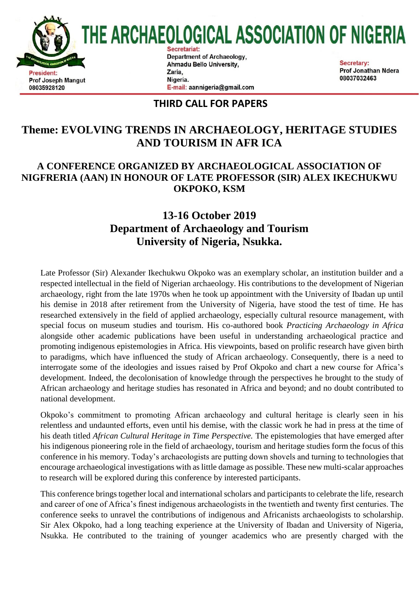

## **THIRD CALL FOR PAPERS**

E-mail: aannigeria@gmail.com

08035928120

# **Theme: EVOLVING TRENDS IN ARCHAEOLOGY, HERITAGE STUDIES AND TOURISM IN AFR ICA**

### **A CONFERENCE ORGANIZED BY ARCHAEOLOGICAL ASSOCIATION OF NIGFRERIA (AAN) IN HONOUR OF LATE PROFESSOR (SIR) ALEX IKECHUKWU OKPOKO, KSM**

## **13-16 October 2019 Department of Archaeology and Tourism University of Nigeria, Nsukka.**

Late Professor (Sir) Alexander Ikechukwu Okpoko was an exemplary scholar, an institution builder and a respected intellectual in the field of Nigerian archaeology. His contributions to the development of Nigerian archaeology, right from the late 1970s when he took up appointment with the University of Ibadan up until his demise in 2018 after retirement from the University of Nigeria, have stood the test of time. He has researched extensively in the field of applied archaeology, especially cultural resource management, with special focus on museum studies and tourism. His co-authored book *Practicing Archaeology in Africa* alongside other academic publications have been useful in understanding archaeological practice and promoting indigenous epistemologies in Africa. His viewpoints, based on prolific research have given birth to paradigms, which have influenced the study of African archaeology. Consequently, there is a need to interrogate some of the ideologies and issues raised by Prof Okpoko and chart a new course for Africa's development. Indeed, the decolonisation of knowledge through the perspectives he brought to the study of African archaeology and heritage studies has resonated in Africa and beyond; and no doubt contributed to national development.

Okpoko's commitment to promoting African archaeology and cultural heritage is clearly seen in his relentless and undaunted efforts, even until his demise, with the classic work he had in press at the time of his death titled *African Cultural Heritage in Time Perspective.* The epistemologies that have emerged after his indigenous pioneering role in the field of archaeology, tourism and heritage studies form the focus of this conference in his memory. Today's archaeologists are putting down shovels and turning to technologies that encourage archaeological investigations with as little damage as possible. These new multi-scalar approaches to research will be explored during this conference by interested participants.

This conference brings together local and international scholars and participants to celebrate the life, research and career of one of Africa's finest indigenous archaeologists in the twentieth and twenty first centuries. The conference seeks to unravel the contributions of indigenous and Africanists archaeologists to scholarship. Sir Alex Okpoko, had a long teaching experience at the University of Ibadan and University of Nigeria, Nsukka. He contributed to the training of younger academics who are presently charged with the